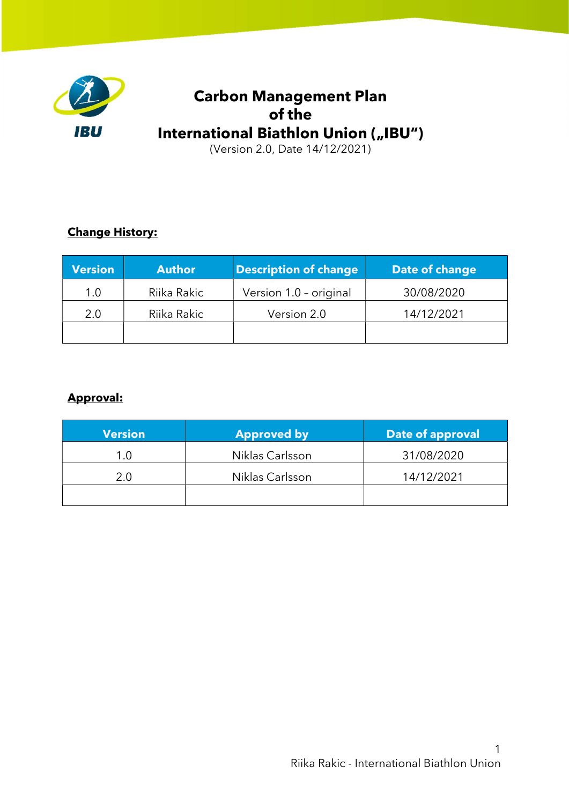

# Carbon Management Plan of the International Biathlon Union ("IBU")

(Version 2.0, Date 14/12/2021)

## Change History:

| <b>Version</b> | <b>Author</b> | <b>Description of change</b> | Date of change |
|----------------|---------------|------------------------------|----------------|
| 1.0            | Riika Rakic   | Version 1.0 - original       | 30/08/2020     |
| 2.0            | Riika Rakic   | Version 2.0                  | 14/12/2021     |
|                |               |                              |                |

## Approval:

| <b>Version</b> | <b>Approved by</b> | <b>Date of approval</b> |
|----------------|--------------------|-------------------------|
| 1.0            | Niklas Carlsson    | 31/08/2020              |
| 2.0            | Niklas Carlsson    | 14/12/2021              |
|                |                    |                         |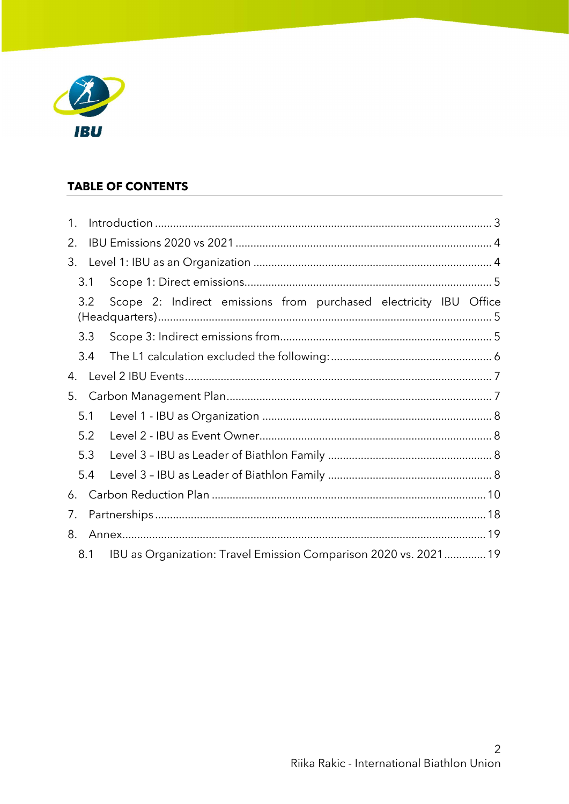

## **TABLE OF CONTENTS**

| 1. |     |                                                                   |  |
|----|-----|-------------------------------------------------------------------|--|
| 2. |     |                                                                   |  |
| 3. |     |                                                                   |  |
|    | 3.1 |                                                                   |  |
|    | 3.2 | Scope 2: Indirect emissions from purchased electricity IBU Office |  |
|    | 3.3 |                                                                   |  |
|    | 3.4 |                                                                   |  |
| 4. |     |                                                                   |  |
| 5. |     |                                                                   |  |
|    | 5.1 |                                                                   |  |
|    | 5.2 |                                                                   |  |
|    | 5.3 |                                                                   |  |
|    | 5.4 |                                                                   |  |
| 6. |     |                                                                   |  |
| 7. |     |                                                                   |  |
| 8. |     |                                                                   |  |
|    | 8.1 | IBU as Organization: Travel Emission Comparison 2020 vs. 2021 19  |  |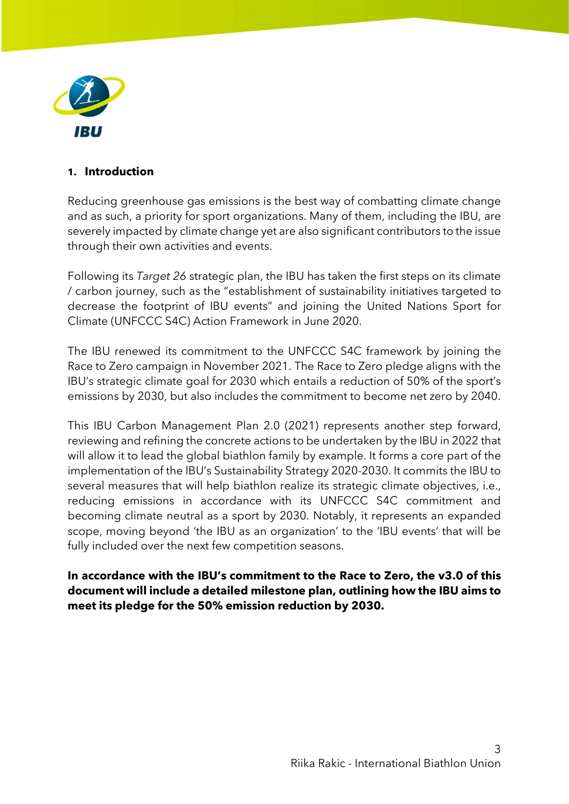

#### 1. Introduction

Reducing greenhouse gas emissions is the best way of combatting climate change and as such, a priority for sport organizations. Many of them, including the IBU, are severely impacted by climate change yet are also significant contributors to the issue through their own activities and events.

Following its Target 26 strategic plan, the IBU has taken the first steps on its climate / carbon journey, such as the "establishment of sustainability initiatives targeted to decrease the footprint of IBU events" and joining the United Nations Sport for Climate (UNFCCC S4C) Action Framework in June 2020.

The IBU renewed its commitment to the UNFCCC S4C framework by joining the Race to Zero campaign in November 2021. The Race to Zero pledge aligns with the IBU's strategic climate goal for 2030 which entails a reduction of 50% of the sport's emissions by 2030, but also includes the commitment to become net zero by 2040.

This IBU Carbon Management Plan 2.0 (2021) represents another step forward, reviewing and refining the concrete actions to be undertaken by the IBU in 2022 that will allow it to lead the global biathlon family by example. It forms a core part of the implementation of the IBU's Sustainability Strategy 2020-2030. It commits the IBU to several measures that will help biathlon realize its strategic climate objectives, *i.e.*, reducing emissions in accordance with its UNFCCC S4C commitment and becoming climate neutral as a sport by 2030. Notably, it represents an expanded scope, moving beyond 'the IBU as an organization' to the 'IBU events' that will be fully included over the next few competition seasons.

In accordance with the IBU's commitment to the Race to Zero, the v3.0 of this document will include a detailed milestone plan, outlining how the IBU aims to meet its pledge for the 50% emission reduction by 2030.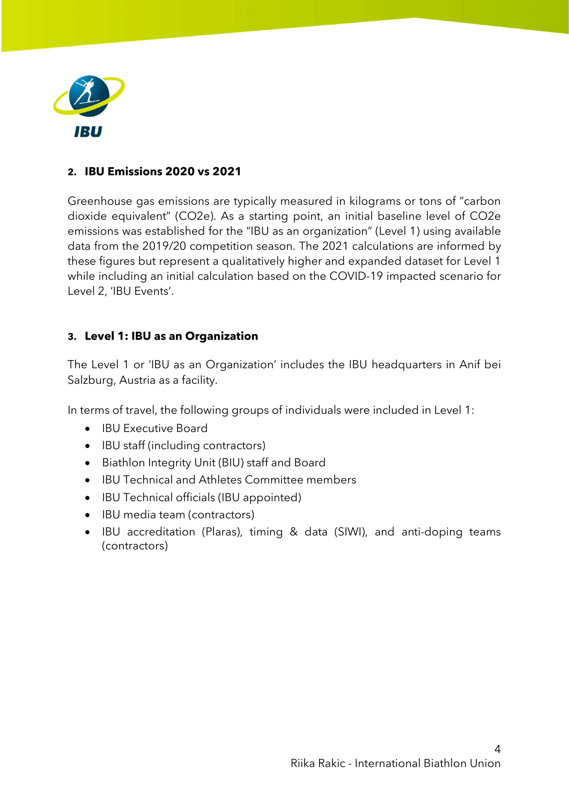

#### 2. IBU Emissions 2020 vs 2021

Greenhouse gas emissions are typically measured in kilograms or tons of "carbon dioxide equivalent" (CO2e). As a starting point, an initial baseline level of CO2e emissions was established for the "IBU as an organization" (Level 1) using available data from the 2019/20 competition season. The 2021 calculations are informed by these figures but represent a qualitatively higher and expanded dataset for Level 1 while including an initial calculation based on the COVID-19 impacted scenario for Level 2, 'IBU Events'.

#### 3. Level 1: IBU as an Organization

The Level 1 or 'IBU as an Organization' includes the IBU headquarters in Anif bei Salzburg, Austria as a facility.

In terms of travel, the following groups of individuals were included in Level 1:

- IBU Executive Board
- IBU staff (including contractors)
- Biathlon Integrity Unit (BIU) staff and Board
- IBU Technical and Athletes Committee members
- IBU Technical officials (IBU appointed)
- IBU media team (contractors)
- IBU accreditation (Plaras), timing & data (SIWI), and anti-doping teams (contractors)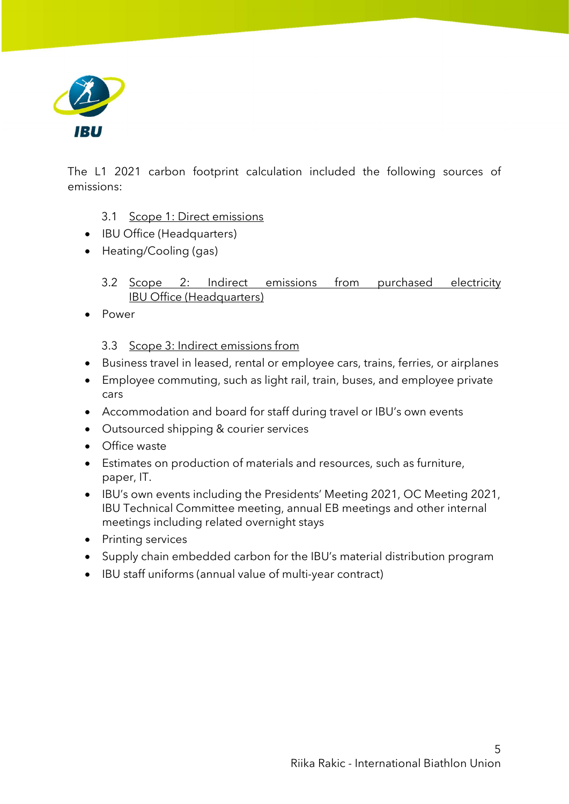

The L1 2021 carbon footprint calculation included the following sources of emissions:

- 3.1 Scope 1: Direct emissions
- IBU Office (Headquarters)
- Heating/Cooling (gas)
	- 3.2 Scope 2: Indirect emissions from purchased electricity IBU Office (Headquarters)
- Power

3.3 Scope 3: Indirect emissions from

- Business travel in leased, rental or employee cars, trains, ferries, or airplanes
- Employee commuting, such as light rail, train, buses, and employee private cars
- Accommodation and board for staff during travel or IBU's own events
- Outsourced shipping & courier services
- Office waste
- Estimates on production of materials and resources, such as furniture, paper, IT.
- IBU's own events including the Presidents' Meeting 2021, OC Meeting 2021, IBU Technical Committee meeting, annual EB meetings and other internal meetings including related overnight stays
- Printing services
- Supply chain embedded carbon for the IBU's material distribution program
- IBU staff uniforms (annual value of multi-year contract)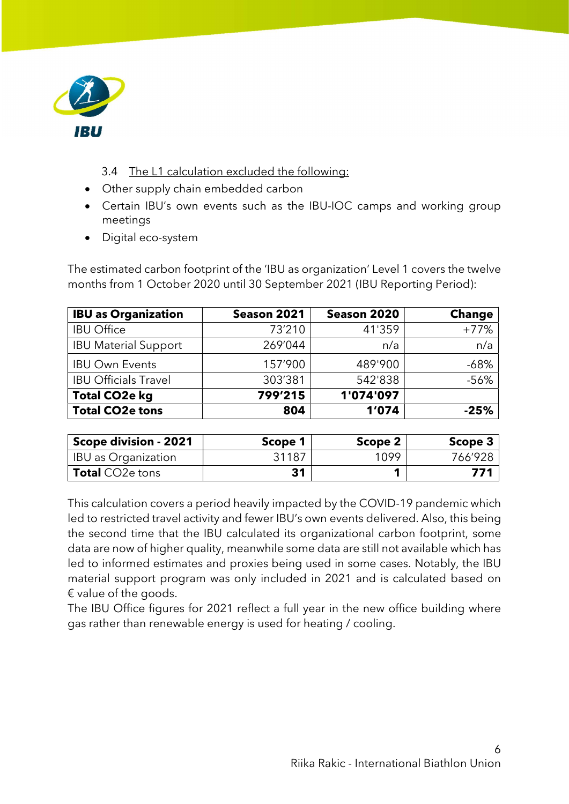

- 3.4 The L1 calculation excluded the following:
- Other supply chain embedded carbon
- Certain IBU's own events such as the IBU-IOC camps and working group meetings
- Digital eco-system

The estimated carbon footprint of the 'IBU as organization' Level 1 covers the twelve months from 1 October 2020 until 30 September 2021 (IBU Reporting Period):

| <b>IBU as Organization</b>  | Season 2021 | Season 2020 | <b>Change</b> |
|-----------------------------|-------------|-------------|---------------|
| <b>IBU Office</b>           | 73'210      | 41'359      | $+77%$        |
| <b>IBU Material Support</b> | 269'044     | n/a         | n/a           |
| <b>IBU Own Events</b>       | 157'900     | 489'900     | $-68%$        |
| <b>IBU Officials Travel</b> | 303'381     | 542'838     | $-56%$        |
| <b>Total CO2e kg</b>        | 799'215     | 1'074'097   |               |
| <b>Total CO2e tons</b>      | 804         | 1'074       | $-25%$        |

| Scope division - 2021      | Scope 1 | Scope 2 | Scope 3 |
|----------------------------|---------|---------|---------|
| <b>IBU</b> as Organization | 31187   | 1099    | 766'928 |
| <b>Total</b> CO2e tons     | 31      |         | 771     |

This calculation covers a period heavily impacted by the COVID-19 pandemic which led to restricted travel activity and fewer IBU's own events delivered. Also, this being the second time that the IBU calculated its organizational carbon footprint, some data are now of higher quality, meanwhile some data are still not available which has led to informed estimates and proxies being used in some cases. Notably, the IBU material support program was only included in 2021 and is calculated based on € value of the goods.

The IBU Office figures for 2021 reflect a full year in the new office building where gas rather than renewable energy is used for heating / cooling.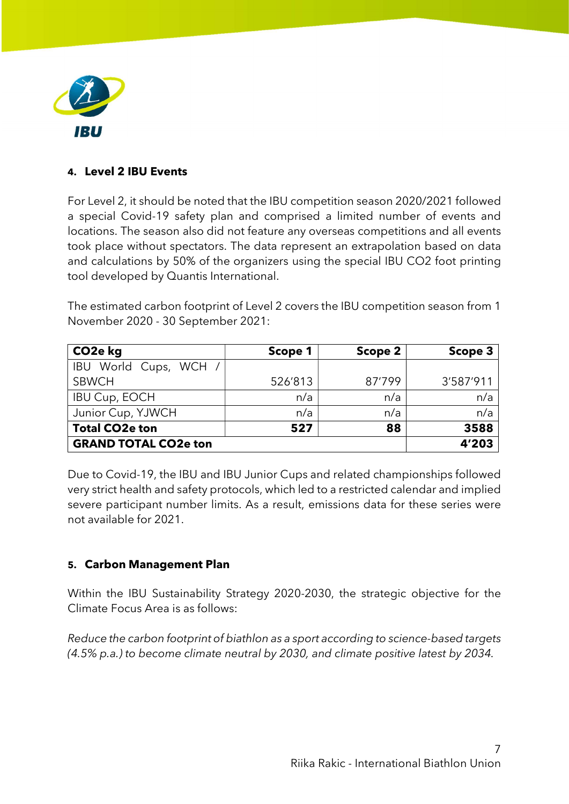

### 4. Level 2 IBU Events

For Level 2, it should be noted that the IBU competition season 2020/2021 followed a special Covid-19 safety plan and comprised a limited number of events and locations. The season also did not feature any overseas competitions and all events took place without spectators. The data represent an extrapolation based on data and calculations by 50% of the organizers using the special IBU CO2 foot printing tool developed by Quantis International.

The estimated carbon footprint of Level 2 covers the IBU competition season from 1 November 2020 - 30 September 2021:

| CO <sub>2</sub> e kg        | Scope 1 | Scope 2 | Scope 3   |
|-----------------------------|---------|---------|-----------|
| IBU World Cups, WCH /       |         |         |           |
| <b>SBWCH</b>                | 526'813 | 87'799  | 3'587'911 |
| <b>IBU Cup, EOCH</b>        | n/a     | n/a     | n/a       |
| Junior Cup, YJWCH           | n/a     | n/a     | n/a       |
| <b>Total CO2e ton</b>       | 527     | 88      | 3588      |
| <b>GRAND TOTAL CO2e ton</b> | 4'203   |         |           |

Due to Covid-19, the IBU and IBU Junior Cups and related championships followed very strict health and safety protocols, which led to a restricted calendar and implied severe participant number limits. As a result, emissions data for these series were not available for 2021.

### 5. Carbon Management Plan

Within the IBU Sustainability Strategy 2020-2030, the strategic objective for the Climate Focus Area is as follows:

Reduce the carbon footprint of biathlon as a sport according to science-based targets (4.5% p.a.) to become climate neutral by 2030, and climate positive latest by 2034.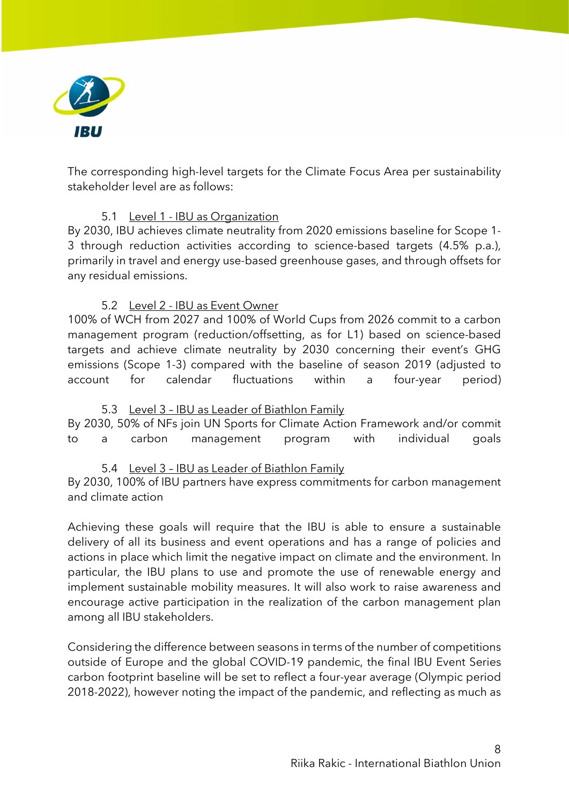

The corresponding high-level targets for the Climate Focus Area per sustainability stakeholder level are as follows:

#### 5.1 Level 1 - IBU as Organization

By 2030, IBU achieves climate neutrality from 2020 emissions baseline for Scope 1- 3 through reduction activities according to science-based targets (4.5% p.a.), primarily in travel and energy use-based greenhouse gases, and through offsets for any residual emissions.

#### 5.2 Level 2 - IBU as Event Owner

100% of WCH from 2027 and 100% of World Cups from 2026 commit to a carbon management program (reduction/offsetting, as for L1) based on science-based targets and achieve climate neutrality by 2030 concerning their event's GHG emissions (Scope 1-3) compared with the baseline of season 2019 (adjusted to account for calendar fluctuations within a four-year period)

#### 5.3 Level 3 – IBU as Leader of Biathlon Family

By 2030, 50% of NFs join UN Sports for Climate Action Framework and/or commit to a carbon management program with individual goals

### 5.4 Level 3 – IBU as Leader of Biathlon Family

By 2030, 100% of IBU partners have express commitments for carbon management and climate action

Achieving these goals will require that the IBU is able to ensure a sustainable delivery of all its business and event operations and has a range of policies and actions in place which limit the negative impact on climate and the environment. In particular, the IBU plans to use and promote the use of renewable energy and implement sustainable mobility measures. It will also work to raise awareness and encourage active participation in the realization of the carbon management plan among all IBU stakeholders.

Considering the difference between seasons in terms of the number of competitions outside of Europe and the global COVID-19 pandemic, the final IBU Event Series carbon footprint baseline will be set to reflect a four-year average (Olympic period 2018-2022), however noting the impact of the pandemic, and reflecting as much as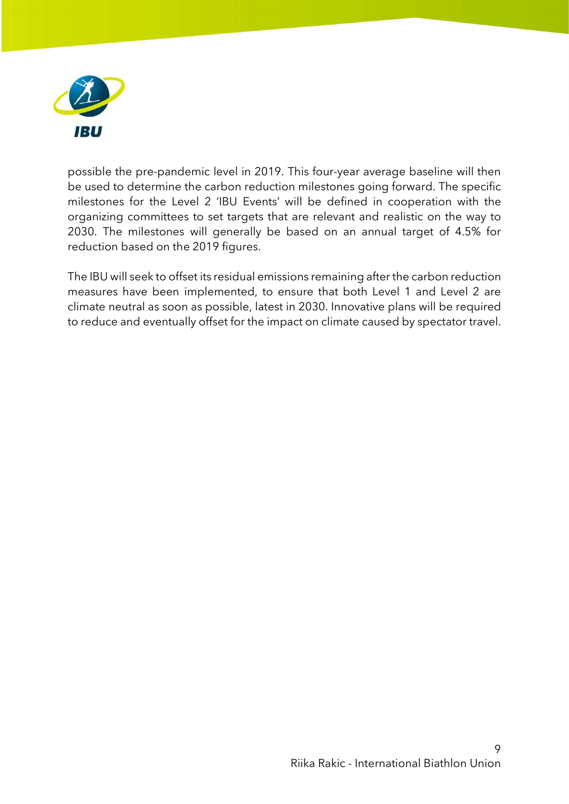

possible the pre-pandemic level in 2019. This four-year average baseline will then be used to determine the carbon reduction milestones going forward. The specific milestones for the Level 2 'IBU Events' will be defined in cooperation with the organizing committees to set targets that are relevant and realistic on the way to 2030. The milestones will generally be based on an annual target of 4.5% for reduction based on the 2019 figures.

The IBU will seek to offset its residual emissions remaining after the carbon reduction measures have been implemented, to ensure that both Level 1 and Level 2 are climate neutral as soon as possible, latest in 2030. Innovative plans will be required to reduce and eventually offset for the impact on climate caused by spectator travel.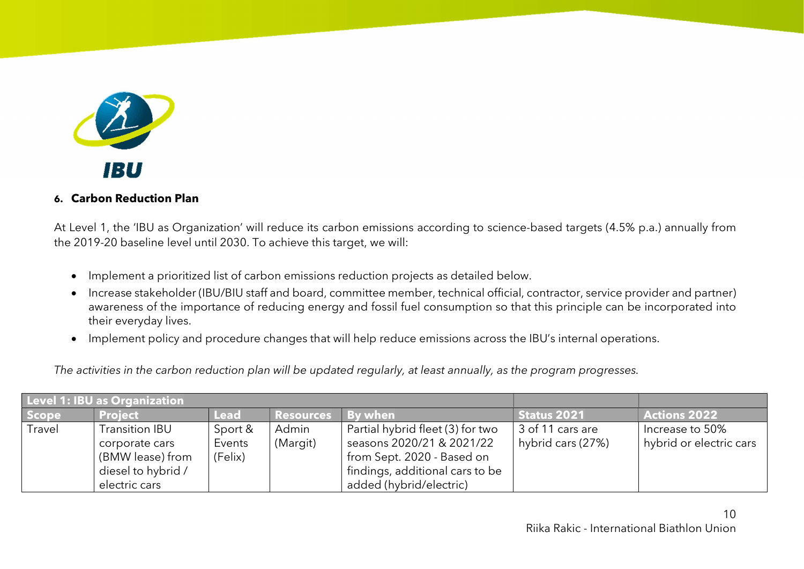

#### 6. Carbon Reduction Plan

At Level 1, the 'IBU as Organization' will reduce its carbon emissions according to science-based targets (4.5% p.a.) annually from the 2019-20 baseline level until 2030. To achieve this target, we will:

- Implement a prioritized list of carbon emissions reduction projects as detailed below.
- Increase stakeholder (IBU/BIU staff and board, committee member, technical official, contractor, service provider and partner) awareness of the importance of reducing energy and fossil fuel consumption so that this principle can be incorporated into their everyday lives.
- Implement policy and procedure changes that will help reduce emissions across the IBU's internal operations.

The activities in the carbon reduction plan will be updated regularly, at least annually, as the program progresses.

|        | <b>Level 1: IBU as Organization</b> |             |                    |                                  |                   |                         |
|--------|-------------------------------------|-------------|--------------------|----------------------------------|-------------------|-------------------------|
| Scope  | <b>Project</b>                      | <b>Lead</b> | Resources By when' |                                  | Status 2021       | <b>Actions 2022</b>     |
| Travel | Transition IBU                      | Sport &     | Admin              | Partial hybrid fleet (3) for two | 3 of 11 cars are  | Increase to 50%         |
|        | corporate cars                      | Events      | (Margit)           | seasons 2020/21 & 2021/22        | hybrid cars (27%) | hybrid or electric cars |
|        | (BMW lease) from                    | (Felix)     |                    | from Sept. 2020 - Based on       |                   |                         |
|        | diesel to hybrid /                  |             |                    | findings, additional cars to be  |                   |                         |
|        | electric cars                       |             |                    | added (hybrid/electric)          |                   |                         |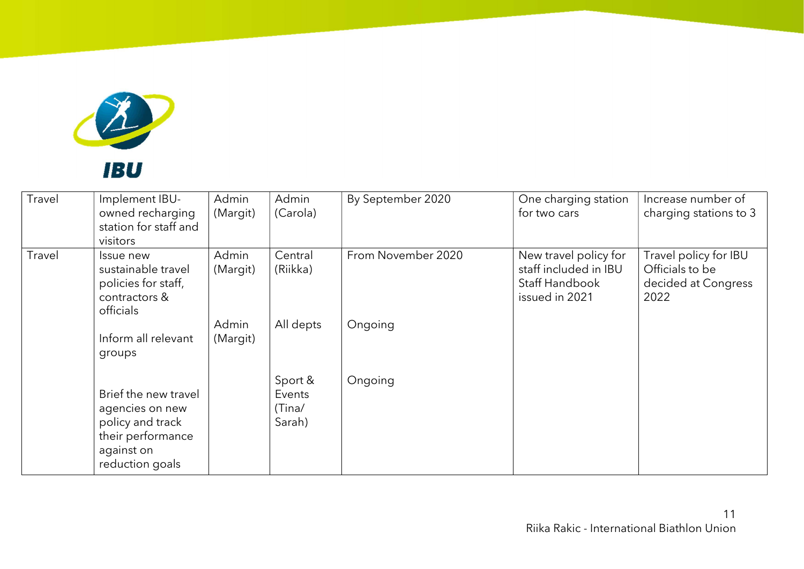

| Travel | Implement IBU-<br>owned recharging<br>station for staff and<br>visitors                                           | Admin<br>(Margit) | Admin<br>(Carola)                     | By September 2020  | One charging station<br>for two cars                                               | Increase number of<br>charging stations to 3                            |
|--------|-------------------------------------------------------------------------------------------------------------------|-------------------|---------------------------------------|--------------------|------------------------------------------------------------------------------------|-------------------------------------------------------------------------|
| Travel | Issue new<br>sustainable travel<br>policies for staff,<br>contractors &<br>officials                              | Admin<br>(Margit) | Central<br>(Riikka)                   | From November 2020 | New travel policy for<br>staff included in IBU<br>Staff Handbook<br>issued in 2021 | Travel policy for IBU<br>Officials to be<br>decided at Congress<br>2022 |
|        | Inform all relevant<br>groups                                                                                     | Admin<br>(Margit) | All depts                             | Ongoing            |                                                                                    |                                                                         |
|        | Brief the new travel<br>agencies on new<br>policy and track<br>their performance<br>against on<br>reduction goals |                   | Sport &<br>Events<br>(Tina/<br>Sarah) | Ongoing            |                                                                                    |                                                                         |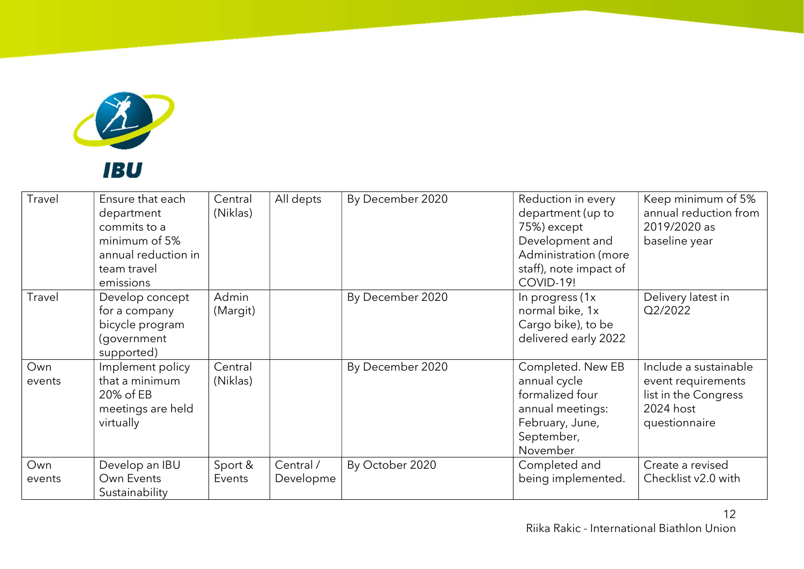

| Travel        | Ensure that each<br>department<br>commits to a<br>minimum of 5%<br>annual reduction in<br>team travel<br>emissions | Central<br>(Niklas) | All depts              | By December 2020 | Reduction in every<br>department (up to<br>75%) except<br>Development and<br>Administration (more<br>staff), note impact of<br>COVID-19! | Keep minimum of 5%<br>annual reduction from<br>2019/2020 as<br>baseline year                      |
|---------------|--------------------------------------------------------------------------------------------------------------------|---------------------|------------------------|------------------|------------------------------------------------------------------------------------------------------------------------------------------|---------------------------------------------------------------------------------------------------|
| Travel        | Develop concept<br>for a company<br>bicycle program<br>(government<br>supported)                                   | Admin<br>(Margit)   |                        | By December 2020 | In progress (1x)<br>normal bike, 1x<br>Cargo bike), to be<br>delivered early 2022                                                        | Delivery latest in<br>Q2/2022                                                                     |
| Own<br>events | Implement policy<br>that a minimum<br>20% of EB<br>meetings are held<br>virtually                                  | Central<br>(Niklas) |                        | By December 2020 | Completed. New EB<br>annual cycle<br>formalized four<br>annual meetings:<br>February, June,<br>September,<br>November                    | Include a sustainable<br>event requirements<br>list in the Congress<br>2024 host<br>questionnaire |
| Own<br>events | Develop an IBU<br>Own Events<br>Sustainability                                                                     | Sport &<br>Events   | Central /<br>Developme | By October 2020  | Completed and<br>being implemented.                                                                                                      | Create a revised<br>Checklist v2.0 with                                                           |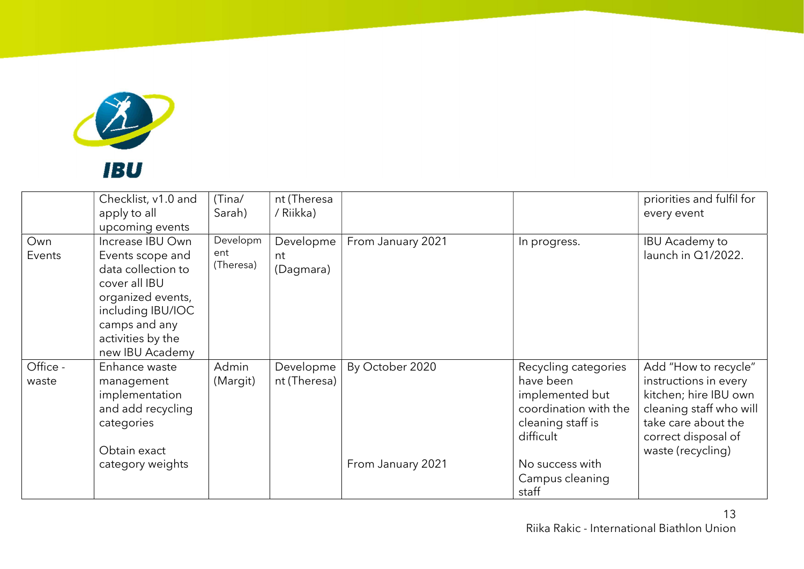

|                   | Checklist, v1.0 and<br>apply to all<br>upcoming events                                                                                                                         | (Tina/<br>Sarah)             | nt (Theresa<br>/ Riikka)     |                   |                                                                                                                 | priorities and fulfil for<br>every event                                                                                                                             |
|-------------------|--------------------------------------------------------------------------------------------------------------------------------------------------------------------------------|------------------------------|------------------------------|-------------------|-----------------------------------------------------------------------------------------------------------------|----------------------------------------------------------------------------------------------------------------------------------------------------------------------|
| Own<br>Events     | Increase IBU Own<br>Events scope and<br>data collection to<br>cover all IBU<br>organized events,<br>including IBU/IOC<br>camps and any<br>activities by the<br>new IBU Academy | Developm<br>ent<br>(Theresa) | Developme<br>nt<br>(Dagmara) | From January 2021 | In progress.                                                                                                    | <b>IBU Academy to</b><br>launch in Q1/2022.                                                                                                                          |
| Office -<br>waste | Enhance waste<br>management<br>implementation<br>and add recycling<br>categories<br>Obtain exact                                                                               | Admin<br>(Margit)            | Developme<br>nt (Theresa)    | By October 2020   | Recycling categories<br>have been<br>implemented but<br>coordination with the<br>cleaning staff is<br>difficult | Add "How to recycle"<br>instructions in every<br>kitchen; hire IBU own<br>cleaning staff who will<br>take care about the<br>correct disposal of<br>waste (recycling) |
|                   | category weights                                                                                                                                                               |                              |                              | From January 2021 | No success with<br>Campus cleaning<br>staff                                                                     |                                                                                                                                                                      |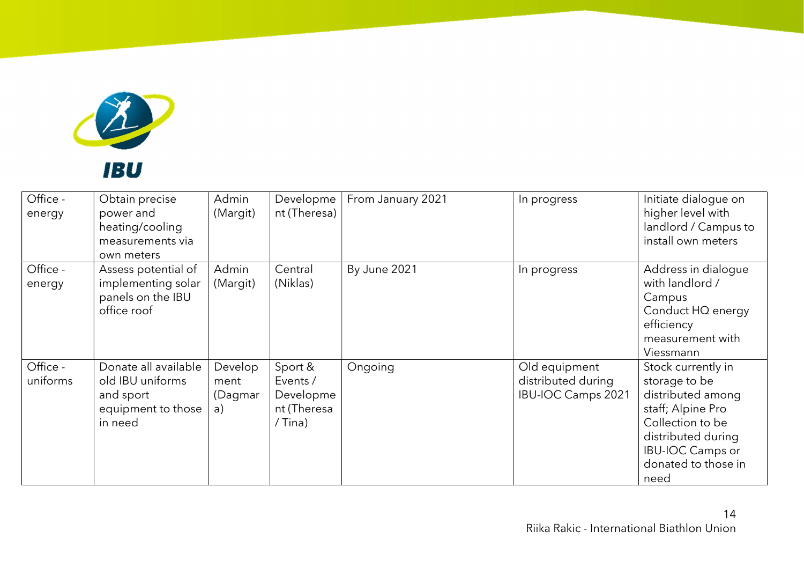

| Office -<br>energy   | Obtain precise<br>power and<br>heating/cooling<br>measurements via<br>own meters       | Admin<br>(Margit)                | Developme<br>nt (Theresa)                                  | From January 2021 | In progress                                                      | Initiate dialogue on<br>higher level with<br>landlord / Campus to<br>install own meters                                                                                           |
|----------------------|----------------------------------------------------------------------------------------|----------------------------------|------------------------------------------------------------|-------------------|------------------------------------------------------------------|-----------------------------------------------------------------------------------------------------------------------------------------------------------------------------------|
| Office -<br>energy   | Assess potential of<br>implementing solar<br>panels on the IBU<br>office roof          | Admin<br>(Margit)                | Central<br>(Niklas)                                        | By June 2021      | In progress                                                      | Address in dialogue<br>with landlord /<br>Campus<br>Conduct HQ energy<br>efficiency<br>measurement with<br>Viessmann                                                              |
| Office -<br>uniforms | Donate all available<br>old IBU uniforms<br>and sport<br>equipment to those<br>in need | Develop<br>ment<br>(Dagmar<br>a) | Sport &<br>Events /<br>Developme<br>nt (Theresa<br>/ Tina) | Ongoing           | Old equipment<br>distributed during<br><b>IBU-IOC Camps 2021</b> | Stock currently in<br>storage to be<br>distributed among<br>staff; Alpine Pro<br>Collection to be<br>distributed during<br><b>IBU-IOC Camps or</b><br>donated to those in<br>need |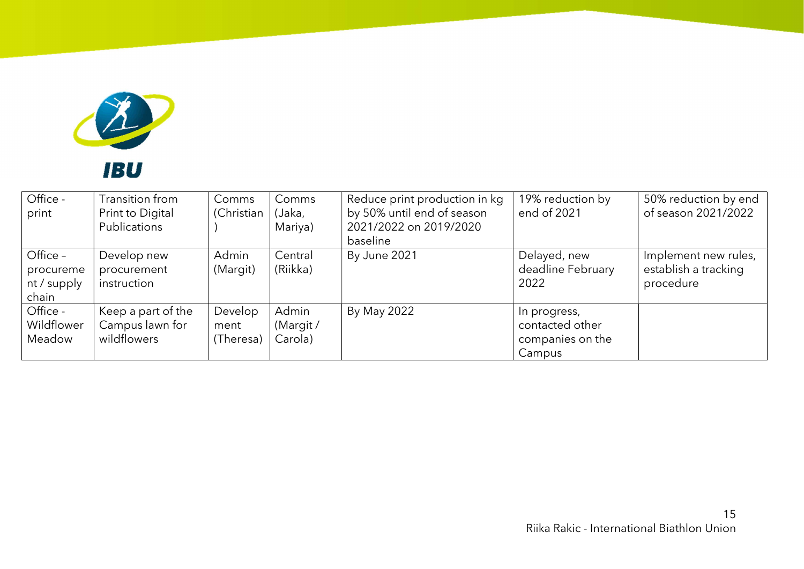

| Office -<br>print                             | Transition from<br>Print to Digital<br>Publications  | Comms<br>(Christian          | Comms<br>(Jaka,<br>Mariya)   | Reduce print production in kg<br>by 50% until end of season<br>2021/2022 on 2019/2020<br>baseline | 19% reduction by<br>end of 2021                               | 50% reduction by end<br>of season 2021/2022               |
|-----------------------------------------------|------------------------------------------------------|------------------------------|------------------------------|---------------------------------------------------------------------------------------------------|---------------------------------------------------------------|-----------------------------------------------------------|
| Office -<br>procureme<br>nt / supply<br>chain | Develop new<br>procurement<br>instruction            | Admin<br>(Margit)            | Central<br>(Riikka)          | By June 2021                                                                                      | Delayed, new<br>deadline February<br>2022                     | Implement new rules,<br>establish a tracking<br>procedure |
| Office -<br>Wildflower<br>Meadow              | Keep a part of the<br>Campus lawn for<br>wildflowers | Develop<br>ment<br>(Theresa) | Admin<br>(Margit/<br>Carola) | By May 2022                                                                                       | In progress,<br>contacted other<br>companies on the<br>Campus |                                                           |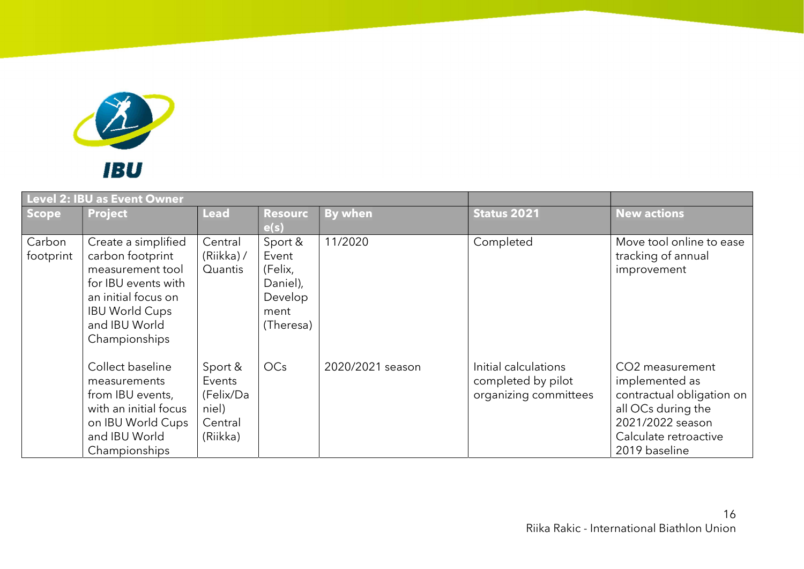

|                     | <b>Level 2: IBU as Event Owner</b>                                                                                                                                   |                                                                |                                                                         |                  |                                                                     |                                                                                                                                                    |
|---------------------|----------------------------------------------------------------------------------------------------------------------------------------------------------------------|----------------------------------------------------------------|-------------------------------------------------------------------------|------------------|---------------------------------------------------------------------|----------------------------------------------------------------------------------------------------------------------------------------------------|
| Scope               | <b>Project</b>                                                                                                                                                       | <b>Lead</b>                                                    | <b>Resourc</b><br>e(s)                                                  | <b>By when</b>   | <b>Status 2021</b>                                                  | <b>New actions</b>                                                                                                                                 |
| Carbon<br>footprint | Create a simplified<br>carbon footprint<br>measurement tool<br>for IBU events with<br>an initial focus on<br><b>IBU World Cups</b><br>and IBU World<br>Championships | Central<br>(Riikka)/<br>Quantis                                | Sport &<br>Event<br>(Felix,<br>Daniel),<br>Develop<br>ment<br>(Theresa) | 11/2020          | Completed                                                           | Move tool online to ease<br>tracking of annual<br>improvement                                                                                      |
|                     | Collect baseline<br>measurements<br>from IBU events,<br>with an initial focus<br>on IBU World Cups<br>and IBU World<br>Championships                                 | Sport &<br>Events<br>(Felix/Da<br>niel)<br>Central<br>(Riikka) | OC <sub>s</sub>                                                         | 2020/2021 season | Initial calculations<br>completed by pilot<br>organizing committees | CO2 measurement<br>implemented as<br>contractual obligation on<br>all OCs during the<br>2021/2022 season<br>Calculate retroactive<br>2019 baseline |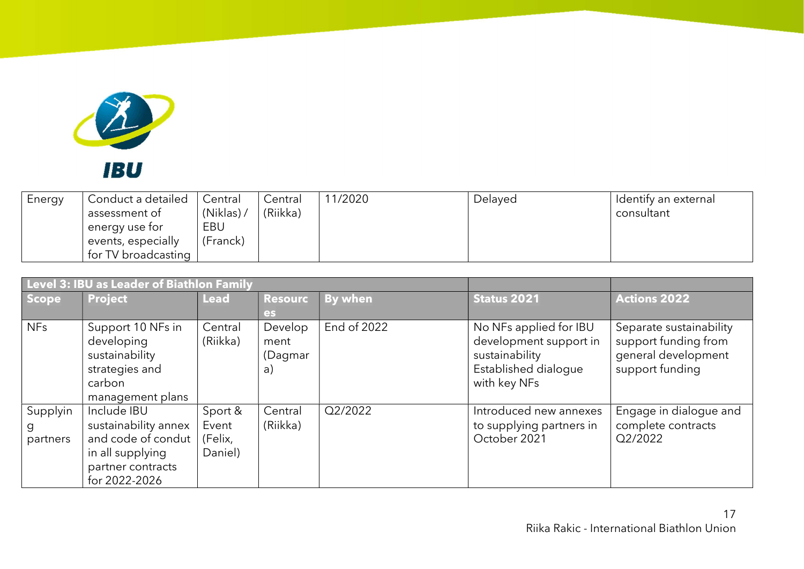

| Energy | Conduct a detailed<br>assessment of<br>energy use for<br>events, especially<br>for TV broadcasting | Central<br>(Niklas).<br>EBU<br>(Franck) | Central<br>(Riikka) | 11/2020 | Delayed | Identify an external<br>consultant |
|--------|----------------------------------------------------------------------------------------------------|-----------------------------------------|---------------------|---------|---------|------------------------------------|
|        |                                                                                                    |                                         |                     |         |         |                                    |

| Level 3: IBU as Leader of Biathlon Family |                                                                                                                     |                                        |                                  |                |                                                                                                            |                                                                                           |  |  |
|-------------------------------------------|---------------------------------------------------------------------------------------------------------------------|----------------------------------------|----------------------------------|----------------|------------------------------------------------------------------------------------------------------------|-------------------------------------------------------------------------------------------|--|--|
| Scope                                     | <b>Project</b>                                                                                                      | <b>Lead</b>                            | <b>Resourc</b>                   | <b>By when</b> | <b>Status 2021</b>                                                                                         | <b>Actions 2022</b>                                                                       |  |  |
|                                           |                                                                                                                     |                                        | es                               |                |                                                                                                            |                                                                                           |  |  |
| <b>NFs</b>                                | Support 10 NFs in<br>developing<br>sustainability<br>strategies and<br>carbon<br>management plans                   | Central<br>(Riikka)                    | Develop<br>ment<br>(Dagmar<br>a) | End of 2022    | No NFs applied for IBU<br>development support in<br>sustainability<br>Established dialogue<br>with key NFs | Separate sustainability<br>support funding from<br>general development<br>support funding |  |  |
| Supplyin<br>g<br>partners                 | Include IBU<br>sustainability annex<br>and code of condut<br>in all supplying<br>partner contracts<br>for 2022-2026 | Sport &<br>Event<br>(Felix,<br>Daniel) | Central<br>(Riikka)              | Q2/2022        | Introduced new annexes<br>to supplying partners in<br>October 2021                                         | Engage in dialogue and<br>complete contracts<br>Q2/2022                                   |  |  |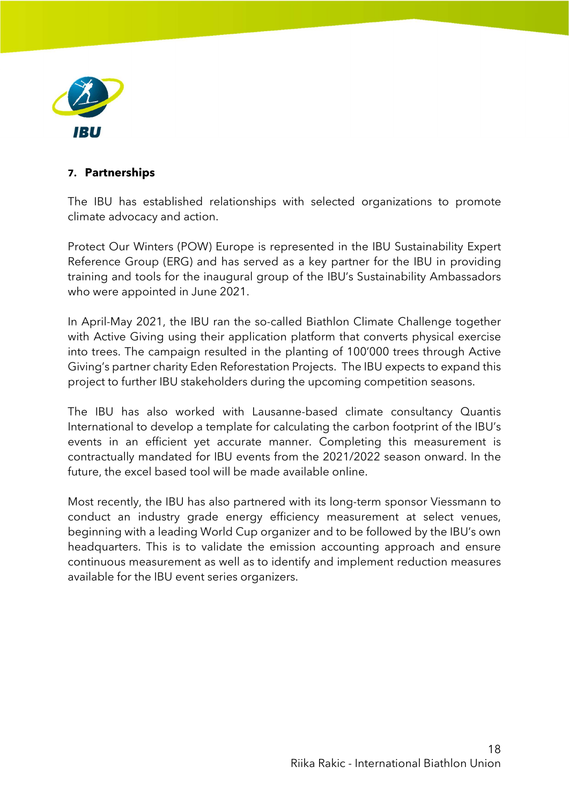

#### 7. Partnerships

The IBU has established relationships with selected organizations to promote climate advocacy and action.

Protect Our Winters (POW) Europe is represented in the IBU Sustainability Expert Reference Group (ERG) and has served as a key partner for the IBU in providing training and tools for the inaugural group of the IBU's Sustainability Ambassadors who were appointed in June 2021.

In April-May 2021, the IBU ran the so-called Biathlon Climate Challenge together with Active Giving using their application platform that converts physical exercise into trees. The campaign resulted in the planting of 100'000 trees through Active Giving's partner charity Eden Reforestation Projects. The IBU expects to expand this project to further IBU stakeholders during the upcoming competition seasons.

The IBU has also worked with Lausanne-based climate consultancy Quantis International to develop a template for calculating the carbon footprint of the IBU's events in an efficient yet accurate manner. Completing this measurement is contractually mandated for IBU events from the 2021/2022 season onward. In the future, the excel based tool will be made available online.

Most recently, the IBU has also partnered with its long-term sponsor Viessmann to conduct an industry grade energy efficiency measurement at select venues, beginning with a leading World Cup organizer and to be followed by the IBU's own headquarters. This is to validate the emission accounting approach and ensure continuous measurement as well as to identify and implement reduction measures available for the IBU event series organizers.